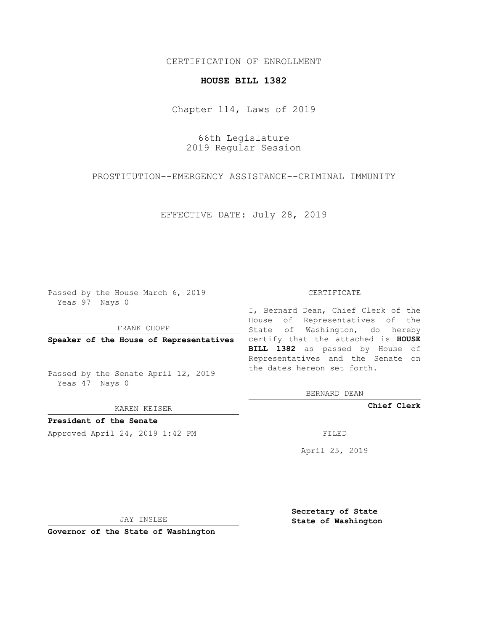## CERTIFICATION OF ENROLLMENT

## **HOUSE BILL 1382**

Chapter 114, Laws of 2019

66th Legislature 2019 Regular Session

PROSTITUTION--EMERGENCY ASSISTANCE--CRIMINAL IMMUNITY

EFFECTIVE DATE: July 28, 2019

Passed by the House March 6, 2019 Yeas 97 Nays 0

FRANK CHOPP

Passed by the Senate April 12, 2019 Yeas 47 Nays 0

KAREN KEISER

**President of the Senate**

Approved April 24, 2019 1:42 PM FILED

## CERTIFICATE

**Speaker of the House of Representatives** certify that the attached is **HOUSE** I, Bernard Dean, Chief Clerk of the House of Representatives of the State of Washington, do hereby **BILL 1382** as passed by House of Representatives and the Senate on the dates hereon set forth.

BERNARD DEAN

**Chief Clerk**

April 25, 2019

JAY INSLEE

**Governor of the State of Washington**

**Secretary of State State of Washington**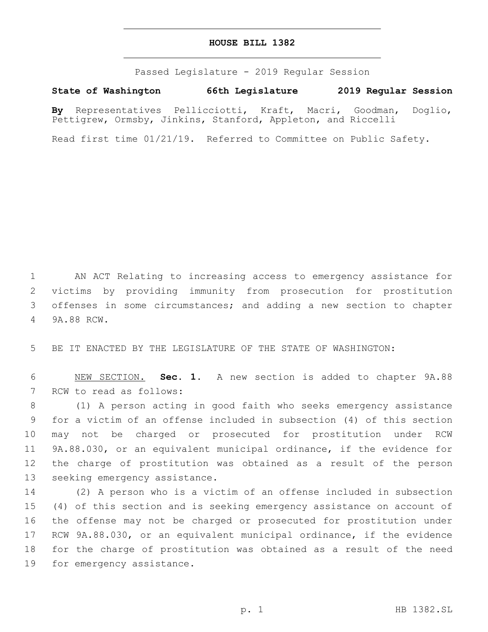## **HOUSE BILL 1382**

Passed Legislature - 2019 Regular Session

**State of Washington 66th Legislature 2019 Regular Session**

**By** Representatives Pellicciotti, Kraft, Macri, Goodman, Doglio, Pettigrew, Ormsby, Jinkins, Stanford, Appleton, and Riccelli

Read first time 01/21/19. Referred to Committee on Public Safety.

1 AN ACT Relating to increasing access to emergency assistance for 2 victims by providing immunity from prosecution for prostitution 3 offenses in some circumstances; and adding a new section to chapter 9A.88 RCW.4

5 BE IT ENACTED BY THE LEGISLATURE OF THE STATE OF WASHINGTON:

6 NEW SECTION. **Sec. 1.** A new section is added to chapter 9A.88 7 RCW to read as follows:

 (1) A person acting in good faith who seeks emergency assistance for a victim of an offense included in subsection (4) of this section may not be charged or prosecuted for prostitution under RCW 9A.88.030, or an equivalent municipal ordinance, if the evidence for the charge of prostitution was obtained as a result of the person 13 seeking emergency assistance.

 (2) A person who is a victim of an offense included in subsection (4) of this section and is seeking emergency assistance on account of the offense may not be charged or prosecuted for prostitution under RCW 9A.88.030, or an equivalent municipal ordinance, if the evidence for the charge of prostitution was obtained as a result of the need 19 for emergency assistance.